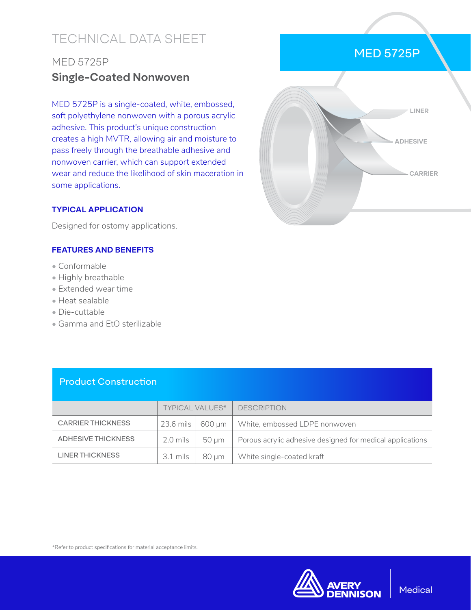# TECHNICAL DATA SHEET

## MED 5725P **Single-Coated Nonwoven**

MED 5725P is a single-coated, white, embossed, soft polyethylene nonwoven with a porous acrylic adhesive. This product's unique construction creates a high MVTR, allowing air and moisture to pass freely through the breathable adhesive and nonwoven carrier, which can support extended wear and reduce the likelihood of skin maceration in some applications.

#### **TYPICAL APPLICATION**

Designed for ostomy applications.

#### **FEATURES AND BENEFITS**

- Conformable
- Highly breathable
- Extended wear time
- Heat sealable
- Die-cuttable
- Gamma and EtO sterilizable

| <b>Product Construction</b> |  |
|-----------------------------|--|
|                             |  |

|                          | <b>TYPICAL VALUES*</b> |       | <b>DESCRIPTION</b>                                        |
|--------------------------|------------------------|-------|-----------------------------------------------------------|
| <b>CARRIER THICKNESS</b> |                        |       | 23.6 mils   600 µm   White, embossed LDPE nonwoven        |
| ADHESIVE THICKNESS       | 2.0 mils               | 50 um | Porous acrylic adhesive designed for medical applications |
| LINER THICKNESS          | $3.1 \text{ miles}$    | 80 µm | White single-coated kraft                                 |



## MED 5725P